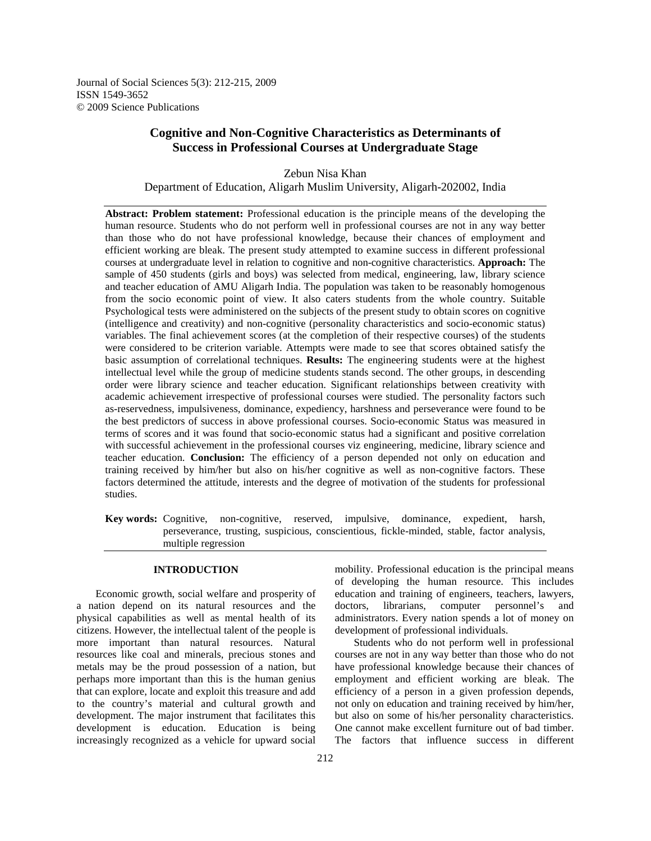Journal of Social Sciences 5(3): 212-215, 2009 ISSN 1549-3652 © 2009 Science Publications

# **Cognitive and Non-Cognitive Characteristics as Determinants of Success in Professional Courses at Undergraduate Stage**

Zebun Nisa Khan Department of Education, Aligarh Muslim University, Aligarh-202002, India

**Abstract: Problem statement:** Professional education is the principle means of the developing the human resource. Students who do not perform well in professional courses are not in any way better than those who do not have professional knowledge, because their chances of employment and efficient working are bleak. The present study attempted to examine success in different professional courses at undergraduate level in relation to cognitive and non-cognitive characteristics. **Approach:** The sample of 450 students (girls and boys) was selected from medical, engineering, law, library science and teacher education of AMU Aligarh India. The population was taken to be reasonably homogenous from the socio economic point of view. It also caters students from the whole country. Suitable Psychological tests were administered on the subjects of the present study to obtain scores on cognitive (intelligence and creativity) and non-cognitive (personality characteristics and socio-economic status) variables. The final achievement scores (at the completion of their respective courses) of the students were considered to be criterion variable. Attempts were made to see that scores obtained satisfy the basic assumption of correlational techniques. **Results:** The engineering students were at the highest intellectual level while the group of medicine students stands second. The other groups, in descending order were library science and teacher education. Significant relationships between creativity with academic achievement irrespective of professional courses were studied. The personality factors such as-reservedness, impulsiveness, dominance, expediency, harshness and perseverance were found to be the best predictors of success in above professional courses. Socio-economic Status was measured in terms of scores and it was found that socio-economic status had a significant and positive correlation with successful achievement in the professional courses viz engineering, medicine, library science and teacher education. **Conclusion:** The efficiency of a person depended not only on education and training received by him/her but also on his/her cognitive as well as non-cognitive factors. These factors determined the attitude, interests and the degree of motivation of the students for professional studies.

**Key words:** Cognitive, non-cognitive, reserved, impulsive, dominance, expedient, harsh, perseverance, trusting, suspicious, conscientious, fickle-minded, stable, factor analysis, multiple regression

## **INTRODUCTION**

 Economic growth, social welfare and prosperity of a nation depend on its natural resources and the physical capabilities as well as mental health of its citizens. However, the intellectual talent of the people is more important than natural resources. Natural resources like coal and minerals, precious stones and metals may be the proud possession of a nation, but perhaps more important than this is the human genius that can explore, locate and exploit this treasure and add to the country's material and cultural growth and development. The major instrument that facilitates this development is education. Education is being increasingly recognized as a vehicle for upward social

mobility. Professional education is the principal means of developing the human resource. This includes education and training of engineers, teachers, lawyers, doctors, librarians, computer personnel's and administrators. Every nation spends a lot of money on development of professional individuals.

 Students who do not perform well in professional courses are not in any way better than those who do not have professional knowledge because their chances of employment and efficient working are bleak. The efficiency of a person in a given profession depends, not only on education and training received by him/her, but also on some of his/her personality characteristics. One cannot make excellent furniture out of bad timber. The factors that influence success in different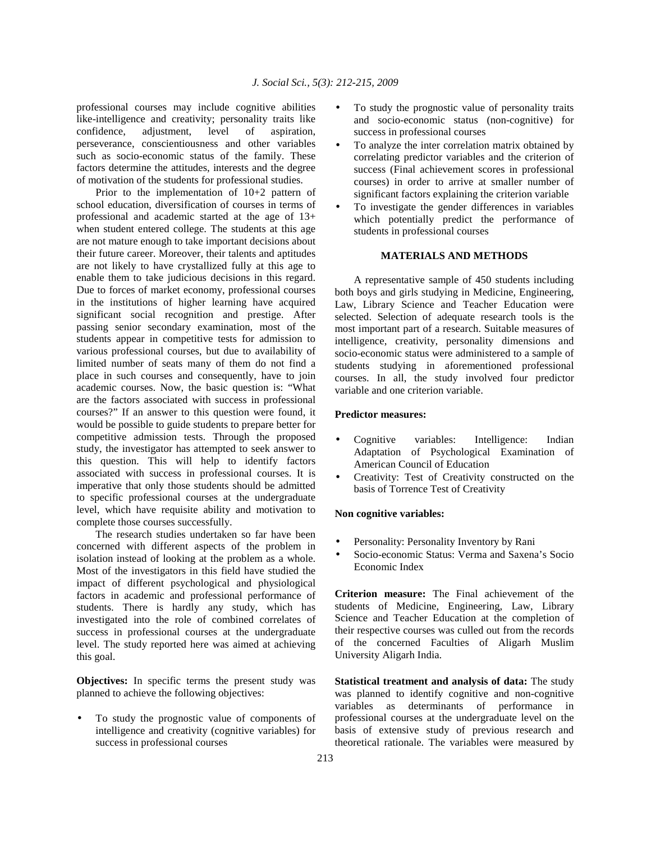professional courses may include cognitive abilities like-intelligence and creativity; personality traits like confidence, adjustment, level of aspiration, perseverance, conscientiousness and other variables such as socio-economic status of the family. These factors determine the attitudes, interests and the degree of motivation of the students for professional studies.

 Prior to the implementation of 10+2 pattern of school education, diversification of courses in terms of professional and academic started at the age of 13+ when student entered college. The students at this age are not mature enough to take important decisions about their future career. Moreover, their talents and aptitudes are not likely to have crystallized fully at this age to enable them to take judicious decisions in this regard. Due to forces of market economy, professional courses in the institutions of higher learning have acquired significant social recognition and prestige. After passing senior secondary examination, most of the students appear in competitive tests for admission to various professional courses, but due to availability of limited number of seats many of them do not find a place in such courses and consequently, have to join academic courses. Now, the basic question is: "What are the factors associated with success in professional courses?" If an answer to this question were found, it would be possible to guide students to prepare better for competitive admission tests. Through the proposed study, the investigator has attempted to seek answer to this question. This will help to identify factors associated with success in professional courses. It is imperative that only those students should be admitted to specific professional courses at the undergraduate level, which have requisite ability and motivation to complete those courses successfully.

 The research studies undertaken so far have been concerned with different aspects of the problem in isolation instead of looking at the problem as a whole. Most of the investigators in this field have studied the impact of different psychological and physiological factors in academic and professional performance of students. There is hardly any study, which has investigated into the role of combined correlates of success in professional courses at the undergraduate level. The study reported here was aimed at achieving this goal.

**Objectives:** In specific terms the present study was planned to achieve the following objectives:

To study the prognostic value of components of intelligence and creativity (cognitive variables) for success in professional courses

- To study the prognostic value of personality traits and socio-economic status (non-cognitive) for success in professional courses
- To analyze the inter correlation matrix obtained by correlating predictor variables and the criterion of success (Final achievement scores in professional courses) in order to arrive at smaller number of significant factors explaining the criterion variable
- To investigate the gender differences in variables which potentially predict the performance of students in professional courses

# **MATERIALS AND METHODS**

 A representative sample of 450 students including both boys and girls studying in Medicine, Engineering, Law, Library Science and Teacher Education were selected. Selection of adequate research tools is the most important part of a research. Suitable measures of intelligence, creativity, personality dimensions and socio-economic status were administered to a sample of students studying in aforementioned professional courses. In all, the study involved four predictor variable and one criterion variable.

### **Predictor measures:**

- Cognitive variables: Intelligence: Indian Adaptation of Psychological Examination of American Council of Education
- Creativity: Test of Creativity constructed on the basis of Torrence Test of Creativity

## **Non cognitive variables:**

- Personality: Personality Inventory by Rani
- Socio-economic Status: Verma and Saxena's Socio Economic Index

**Criterion measure:** The Final achievement of the students of Medicine, Engineering, Law, Library Science and Teacher Education at the completion of their respective courses was culled out from the records of the concerned Faculties of Aligarh Muslim University Aligarh India.

**Statistical treatment and analysis of data:** The study was planned to identify cognitive and non-cognitive variables as determinants of performance in professional courses at the undergraduate level on the basis of extensive study of previous research and theoretical rationale. The variables were measured by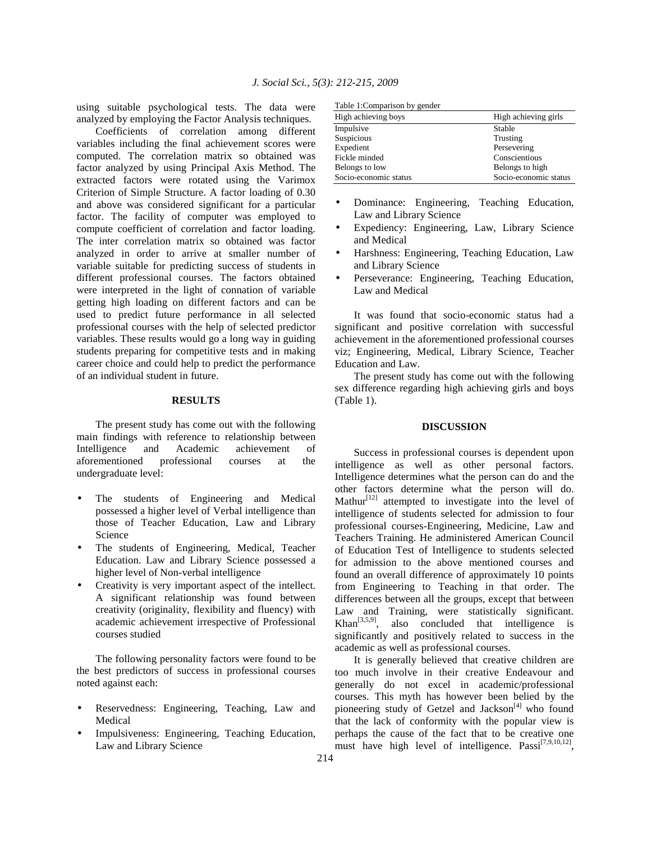using suitable psychological tests. The data were analyzed by employing the Factor Analysis techniques.

 Coefficients of correlation among different variables including the final achievement scores were computed. The correlation matrix so obtained was factor analyzed by using Principal Axis Method. The extracted factors were rotated using the Varimox Criterion of Simple Structure. A factor loading of 0.30 and above was considered significant for a particular factor. The facility of computer was employed to compute coefficient of correlation and factor loading. The inter correlation matrix so obtained was factor analyzed in order to arrive at smaller number of variable suitable for predicting success of students in different professional courses. The factors obtained were interpreted in the light of connation of variable getting high loading on different factors and can be used to predict future performance in all selected professional courses with the help of selected predictor variables. These results would go a long way in guiding students preparing for competitive tests and in making career choice and could help to predict the performance of an individual student in future.

#### **RESULTS**

 The present study has come out with the following main findings with reference to relationship between Intelligence and Academic achievement of<br>aforementioned professional courses at the aforementioned professional courses at the undergraduate level:

- The students of Engineering and Medical possessed a higher level of Verbal intelligence than those of Teacher Education, Law and Library Science
- The students of Engineering, Medical, Teacher Education. Law and Library Science possessed a higher level of Non-verbal intelligence
- Creativity is very important aspect of the intellect. A significant relationship was found between creativity (originality, flexibility and fluency) with academic achievement irrespective of Professional courses studied

 The following personality factors were found to be the best predictors of success in professional courses noted against each:

- Reservedness: Engineering, Teaching, Law and Medical
- Impulsiveness: Engineering, Teaching Education, Law and Library Science

|  | Table 1: Comparison by gender |  |
|--|-------------------------------|--|
|  |                               |  |

| Table 1. Comparison by genuer |                       |  |
|-------------------------------|-----------------------|--|
| High achieving boys           | High achieving girls  |  |
| Impulsive                     | Stable                |  |
| Suspicious                    | Trusting              |  |
| Expedient                     | Persevering           |  |
| Fickle minded                 | Conscientious         |  |
| Belongs to low                | Belongs to high       |  |
| Socio-economic status         | Socio-economic status |  |

- Dominance: Engineering, Teaching Education, Law and Library Science
- Expediency: Engineering, Law, Library Science and Medical
- Harshness: Engineering, Teaching Education, Law and Library Science
- Perseverance: Engineering, Teaching Education, Law and Medical

 It was found that socio-economic status had a significant and positive correlation with successful achievement in the aforementioned professional courses viz; Engineering, Medical, Library Science, Teacher Education and Law.

 The present study has come out with the following sex difference regarding high achieving girls and boys (Table 1).

# **DISCUSSION**

 Success in professional courses is dependent upon intelligence as well as other personal factors. Intelligence determines what the person can do and the other factors determine what the person will do. Mathur<sup>[12]</sup> attempted to investigate into the level of intelligence of students selected for admission to four professional courses-Engineering, Medicine, Law and Teachers Training. He administered American Council of Education Test of Intelligence to students selected for admission to the above mentioned courses and found an overall difference of approximately 10 points from Engineering to Teaching in that order. The differences between all the groups, except that between Law and Training, were statistically significant.  $Khan<sup>[3,5,9]</sup>$ , also concluded that intelligence is significantly and positively related to success in the academic as well as professional courses.

 It is generally believed that creative children are too much involve in their creative Endeavour and generally do not excel in academic/professional courses. This myth has however been belied by the pioneering study of Getzel and Jackson<sup>[4]</sup> who found that the lack of conformity with the popular view is perhaps the cause of the fact that to be creative one must have high level of intelligence.  $Passi^{[7,9,10,12]}$ ,